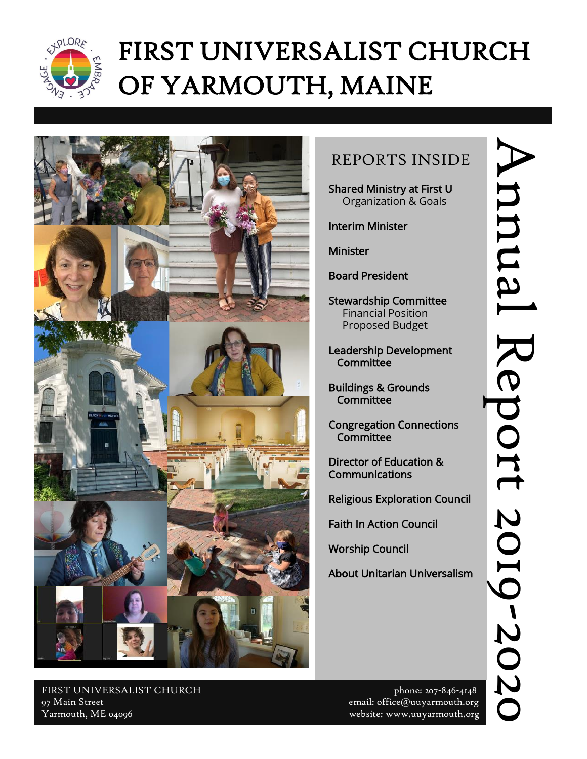

# FIRST UNIVERSALIST CHURCH OF YARMOUTH, MAINE



# REPORTS INSIDE

Shared Ministry at First U Organization & Goals

Interim Minister

Minister

Board President

Stewardship Committee Financial Position Proposed Budget

Leadership Development **Committee** 

Buildings & Grounds **Committee** 

Congregation Connections **Committee** 

Director of Education & Communications

Religious Exploration Council

Faith In Action Council

Worship Council

About Unitarian Universalism

Annual Report 2019 Annual Report 2019-2020

FIRST UNIVERSALIST CHURCH phone: 207-846-4148 97 Main Street email: office@uuyarmouth.org Yarmouth, ME 04096 website: www.uuyarmouth.org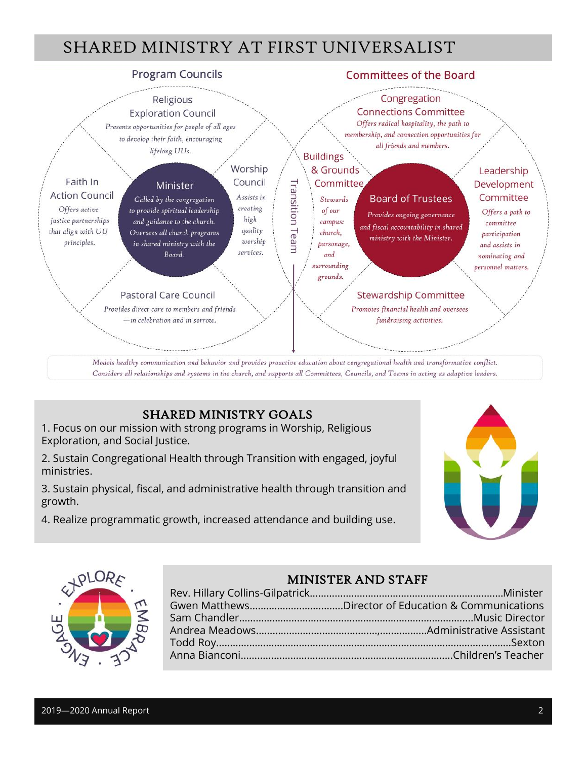# SHARED MINISTRY AT FIRST UNIVERSALIST



### SHARED MINISTRY GOALS

1. Focus on our mission with strong programs in Worship, Religious Exploration, and Social Justice.

2. Sustain Congregational Health through Transition with engaged, joyful ministries.

3. Sustain physical, fiscal, and administrative health through transition and growth.

4. Realize programmatic growth, increased attendance and building use.





### MINISTER AND STAFF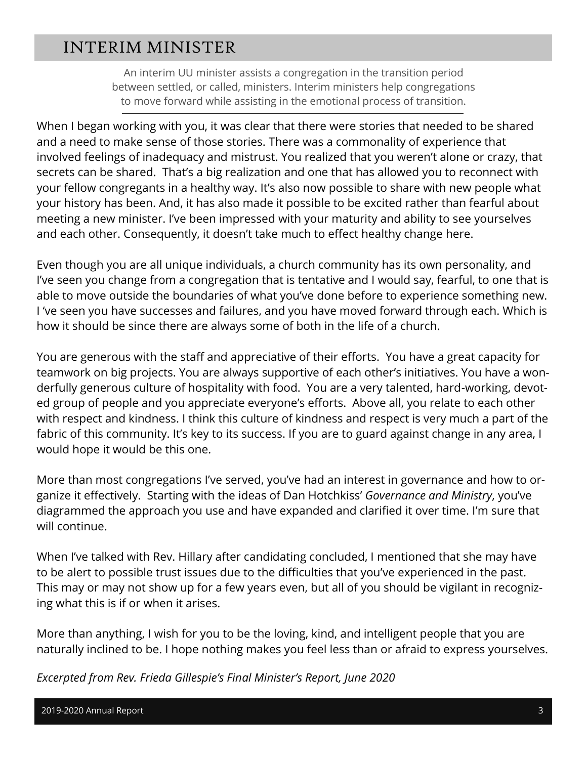### INTERIM MINISTER

An interim UU minister assists a congregation in the transition period between settled, or called, ministers. Interim ministers help congregations to move forward while assisting in the emotional process of transition.

When I began working with you, it was clear that there were stories that needed to be shared and a need to make sense of those stories. There was a commonality of experience that involved feelings of inadequacy and mistrust. You realized that you weren't alone or crazy, that secrets can be shared. That's a big realization and one that has allowed you to reconnect with your fellow congregants in a healthy way. It's also now possible to share with new people what your history has been. And, it has also made it possible to be excited rather than fearful about meeting a new minister. I've been impressed with your maturity and ability to see yourselves and each other. Consequently, it doesn't take much to effect healthy change here.

Even though you are all unique individuals, a church community has its own personality, and I've seen you change from a congregation that is tentative and I would say, fearful, to one that is able to move outside the boundaries of what you've done before to experience something new. I 've seen you have successes and failures, and you have moved forward through each. Which is how it should be since there are always some of both in the life of a church.

You are generous with the staff and appreciative of their efforts. You have a great capacity for teamwork on big projects. You are always supportive of each other's initiatives. You have a wonderfully generous culture of hospitality with food. You are a very talented, hard-working, devoted group of people and you appreciate everyone's efforts. Above all, you relate to each other with respect and kindness. I think this culture of kindness and respect is very much a part of the fabric of this community. It's key to its success. If you are to guard against change in any area, I would hope it would be this one.

More than most congregations I've served, you've had an interest in governance and how to organize it effectively. Starting with the ideas of Dan Hotchkiss' *Governance and Ministry*, you've diagrammed the approach you use and have expanded and clarified it over time. I'm sure that will continue.

When I've talked with Rev. Hillary after candidating concluded, I mentioned that she may have to be alert to possible trust issues due to the difficulties that you've experienced in the past. This may or may not show up for a few years even, but all of you should be vigilant in recognizing what this is if or when it arises.

More than anything, I wish for you to be the loving, kind, and intelligent people that you are naturally inclined to be. I hope nothing makes you feel less than or afraid to express yourselves.

*Excerpted from Rev. Frieda Gillespie's Final Minister's Report, June 2020*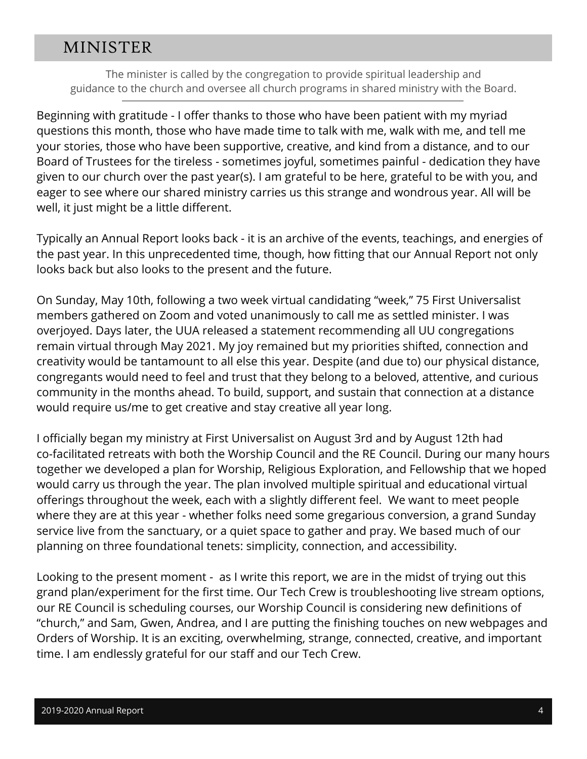### MINISTER

The minister is called by the congregation to provide spiritual leadership and guidance to the church and oversee all church programs in shared ministry with the Board.

Beginning with gratitude - I offer thanks to those who have been patient with my myriad questions this month, those who have made time to talk with me, walk with me, and tell me your stories, those who have been supportive, creative, and kind from a distance, and to our Board of Trustees for the tireless - sometimes joyful, sometimes painful - dedication they have given to our church over the past year(s). I am grateful to be here, grateful to be with you, and eager to see where our shared ministry carries us this strange and wondrous year. All will be well, it just might be a little different.

Typically an Annual Report looks back - it is an archive of the events, teachings, and energies of the past year. In this unprecedented time, though, how fitting that our Annual Report not only looks back but also looks to the present and the future.

On Sunday, May 10th, following a two week virtual candidating "week," 75 First Universalist members gathered on Zoom and voted unanimously to call me as settled minister. I was overjoyed. Days later, the UUA released a statement recommending all UU congregations remain virtual through May 2021. My joy remained but my priorities shifted, connection and creativity would be tantamount to all else this year. Despite (and due to) our physical distance, congregants would need to feel and trust that they belong to a beloved, attentive, and curious community in the months ahead. To build, support, and sustain that connection at a distance would require us/me to get creative and stay creative all year long.

I officially began my ministry at First Universalist on August 3rd and by August 12th had co-facilitated retreats with both the Worship Council and the RE Council. During our many hours together we developed a plan for Worship, Religious Exploration, and Fellowship that we hoped would carry us through the year. The plan involved multiple spiritual and educational virtual offerings throughout the week, each with a slightly different feel. We want to meet people where they are at this year - whether folks need some gregarious conversion, a grand Sunday service live from the sanctuary, or a quiet space to gather and pray. We based much of our planning on three foundational tenets: simplicity, connection, and accessibility.

Looking to the present moment - as I write this report, we are in the midst of trying out this grand plan/experiment for the first time. Our Tech Crew is troubleshooting live stream options, our RE Council is scheduling courses, our Worship Council is considering new definitions of "church," and Sam, Gwen, Andrea, and I are putting the finishing touches on new webpages and Orders of Worship. It is an exciting, overwhelming, strange, connected, creative, and important time. I am endlessly grateful for our staff and our Tech Crew.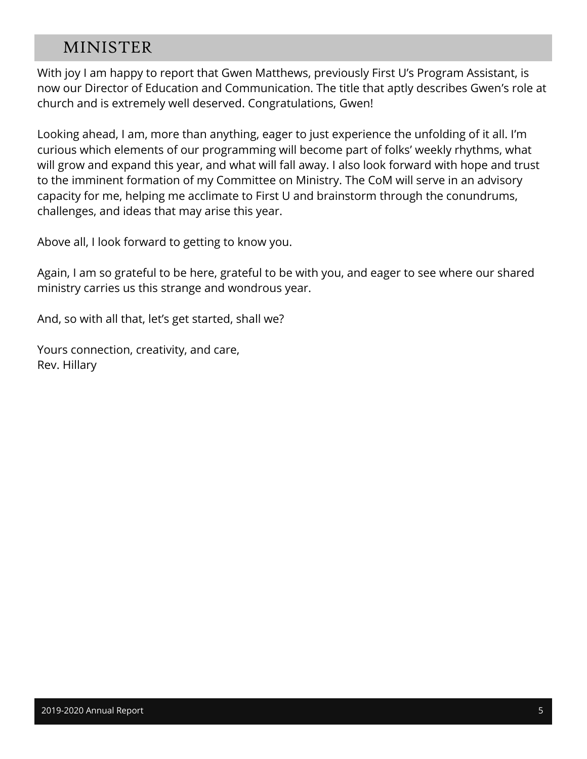### MINISTER

With joy I am happy to report that Gwen Matthews, previously First U's Program Assistant, is now our Director of Education and Communication. The title that aptly describes Gwen's role at church and is extremely well deserved. Congratulations, Gwen!

Looking ahead, I am, more than anything, eager to just experience the unfolding of it all. I'm curious which elements of our programming will become part of folks' weekly rhythms, what will grow and expand this year, and what will fall away. I also look forward with hope and trust to the imminent formation of my Committee on Ministry. The CoM will serve in an advisory capacity for me, helping me acclimate to First U and brainstorm through the conundrums, challenges, and ideas that may arise this year.

Above all, I look forward to getting to know you.

Again, I am so grateful to be here, grateful to be with you, and eager to see where our shared ministry carries us this strange and wondrous year.

And, so with all that, let's get started, shall we?

Yours connection, creativity, and care, Rev. Hillary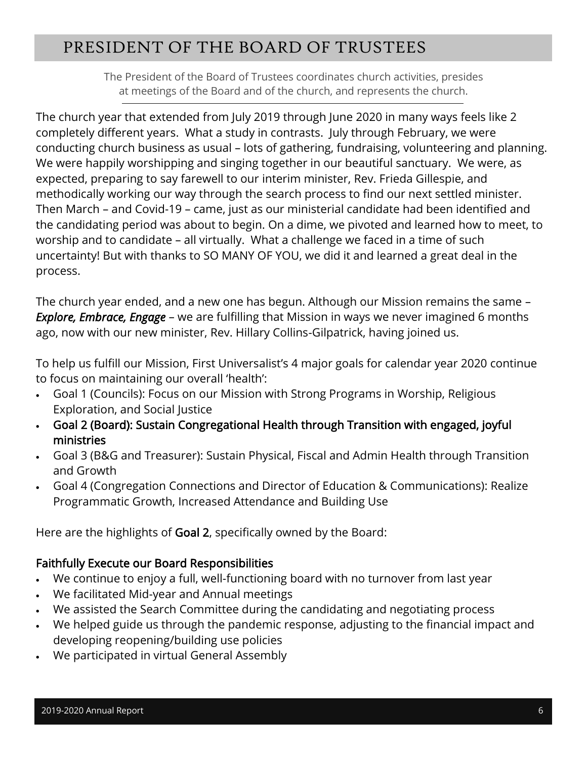# PRESIDENT OF THE BOARD OF TRUSTEES

The President of the Board of Trustees coordinates church activities, presides at meetings of the Board and of the church, and represents the church.

The church year that extended from July 2019 through June 2020 in many ways feels like 2 completely different years. What a study in contrasts. July through February, we were conducting church business as usual – lots of gathering, fundraising, volunteering and planning. We were happily worshipping and singing together in our beautiful sanctuary. We were, as expected, preparing to say farewell to our interim minister, Rev. Frieda Gillespie, and methodically working our way through the search process to find our next settled minister. Then March – and Covid-19 – came, just as our ministerial candidate had been identified and the candidating period was about to begin. On a dime, we pivoted and learned how to meet, to worship and to candidate – all virtually. What a challenge we faced in a time of such uncertainty! But with thanks to SO MANY OF YOU, we did it and learned a great deal in the process.

The church year ended, and a new one has begun. Although our Mission remains the same – *Explore, Embrace, Engage* – we are fulfilling that Mission in ways we never imagined 6 months ago, now with our new minister, Rev. Hillary Collins-Gilpatrick, having joined us.

To help us fulfill our Mission, First Universalist's 4 major goals for calendar year 2020 continue to focus on maintaining our overall 'health':

- Goal 1 (Councils): Focus on our Mission with Strong Programs in Worship, Religious Exploration, and Social Justice
- Goal 2 (Board): Sustain Congregational Health through Transition with engaged, joyful ministries
- Goal 3 (B&G and Treasurer): Sustain Physical, Fiscal and Admin Health through Transition and Growth
- Goal 4 (Congregation Connections and Director of Education & Communications): Realize Programmatic Growth, Increased Attendance and Building Use

Here are the highlights of Goal 2, specifically owned by the Board:

### Faithfully Execute our Board Responsibilities

- We continue to enjoy a full, well-functioning board with no turnover from last year
- We facilitated Mid-year and Annual meetings
- We assisted the Search Committee during the candidating and negotiating process
- We helped guide us through the pandemic response, adjusting to the financial impact and developing reopening/building use policies
- We participated in virtual General Assembly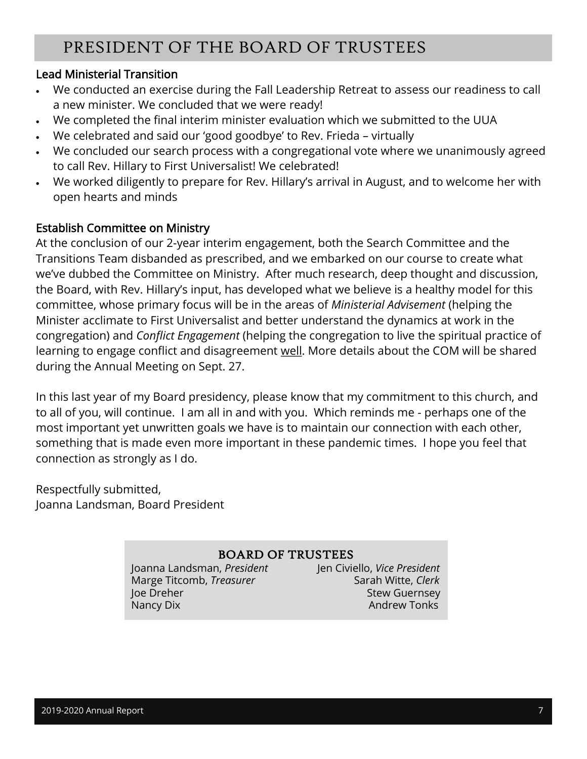# PRESIDENT OF THE BOARD OF TRUSTEES

### Lead Ministerial Transition

- We conducted an exercise during the Fall Leadership Retreat to assess our readiness to call a new minister. We concluded that we were ready!
- We completed the final interim minister evaluation which we submitted to the UUA
- We celebrated and said our 'good goodbye' to Rev. Frieda virtually
- We concluded our search process with a congregational vote where we unanimously agreed to call Rev. Hillary to First Universalist! We celebrated!
- We worked diligently to prepare for Rev. Hillary's arrival in August, and to welcome her with open hearts and minds

### Establish Committee on Ministry

At the conclusion of our 2-year interim engagement, both the Search Committee and the Transitions Team disbanded as prescribed, and we embarked on our course to create what we've dubbed the Committee on Ministry. After much research, deep thought and discussion, the Board, with Rev. Hillary's input, has developed what we believe is a healthy model for this committee, whose primary focus will be in the areas of *Ministerial Advisement* (helping the Minister acclimate to First Universalist and better understand the dynamics at work in the congregation) and *Conflict Engagement* (helping the congregation to live the spiritual practice of learning to engage conflict and disagreement well. More details about the COM will be shared during the Annual Meeting on Sept. 27.

In this last year of my Board presidency, please know that my commitment to this church, and to all of you, will continue. I am all in and with you. Which reminds me - perhaps one of the most important yet unwritten goals we have is to maintain our connection with each other, something that is made even more important in these pandemic times. I hope you feel that connection as strongly as I do.

Respectfully submitted, Joanna Landsman, Board President

### BOARD OF TRUSTEES

Joanna Landsman, *President* Jen Civiello, *Vice President* **Marge Titcomb,** *Treasurer* Sarah Witte, *Clerk* Joe Dreher Stew Guernsey Nancy Dix **Nancy Dix** Andrew Tonks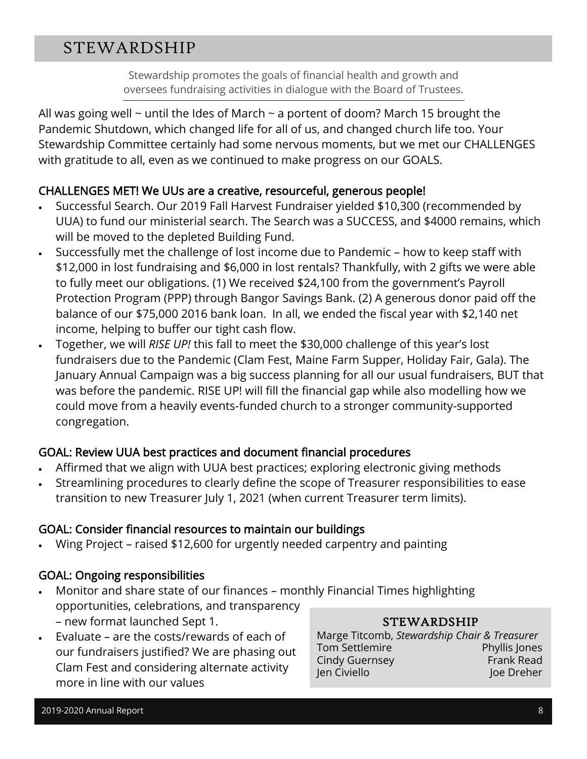# STEWARDSHIP

Stewardship promotes the goals of financial health and growth and oversees fundraising activities in dialogue with the Board of Trustees.

All was going well  $\sim$  until the Ides of March  $\sim$  a portent of doom? March 15 brought the Pandemic Shutdown, which changed life for all of us, and changed church life too. Your Stewardship Committee certainly had some nervous moments, but we met our CHALLENGES with gratitude to all, even as we continued to make progress on our GOALS.

### CHALLENGES MET! We UUs are a creative, resourceful, generous people!

- Successful Search. Our 2019 Fall Harvest Fundraiser yielded \$10,300 (recommended by UUA) to fund our ministerial search. The Search was a SUCCESS, and \$4000 remains, which will be moved to the depleted Building Fund.
- Successfully met the challenge of lost income due to Pandemic how to keep staff with \$12,000 in lost fundraising and \$6,000 in lost rentals? Thankfully, with 2 gifts we were able to fully meet our obligations. (1) We received \$24,100 from the government's Payroll Protection Program (PPP) through Bangor Savings Bank. (2) A generous donor paid off the balance of our \$75,000 2016 bank loan. In all, we ended the fiscal year with \$2,140 net income, helping to buffer our tight cash flow.
- Together, we will *RISE UP!* this fall to meet the \$30,000 challenge of this year's lost fundraisers due to the Pandemic (Clam Fest, Maine Farm Supper, Holiday Fair, Gala). The January Annual Campaign was a big success planning for all our usual fundraisers, BUT that was before the pandemic. RISE UP! will fill the financial gap while also modelling how we could move from a heavily events-funded church to a stronger community-supported congregation.

### GOAL: Review UUA best practices and document financial procedures

- Affirmed that we align with UUA best practices; exploring electronic giving methods
- Streamlining procedures to clearly define the scope of Treasurer responsibilities to ease transition to new Treasurer July 1, 2021 (when current Treasurer term limits).

### GOAL: Consider financial resources to maintain our buildings

• Wing Project – raised \$12,600 for urgently needed carpentry and painting

### GOAL: Ongoing responsibilities

- Monitor and share state of our finances monthly Financial Times highlighting opportunities, celebrations, and transparency – new format launched Sept 1.
- Evaluate are the costs/rewards of each of our fundraisers justified? We are phasing out Clam Fest and considering alternate activity more in line with our values

### STEWARDSHIP

Marge Titcomb, *Stewardship Chair & Treasurer* Tom Settlemire **Phyllis Jones** Cindy Guernsey **Frank Read** Jen Civiello Joe Dreher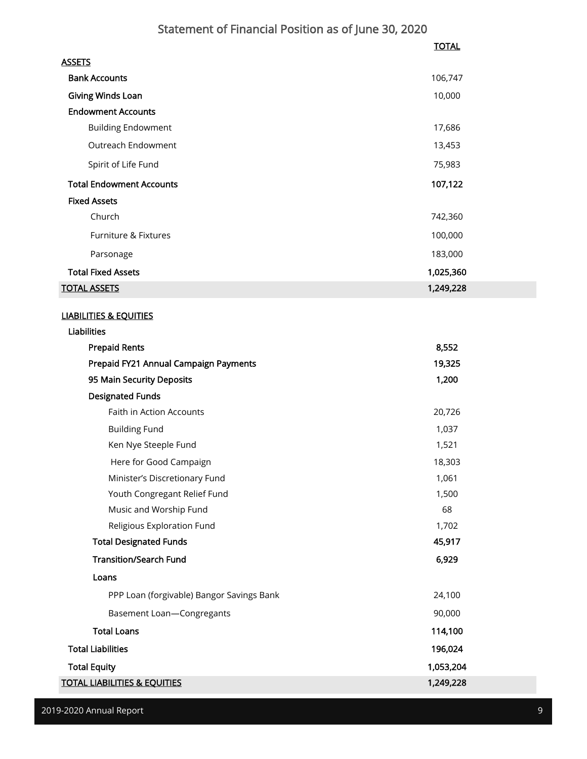### Statement of Financial Position as of June 30, 2020

|                                 | <b>TOTAL</b> |
|---------------------------------|--------------|
| <b>ASSETS</b>                   |              |
| <b>Bank Accounts</b>            | 106,747      |
| Giving Winds Loan               | 10,000       |
| <b>Endowment Accounts</b>       |              |
| <b>Building Endowment</b>       | 17,686       |
| Outreach Endowment              | 13,453       |
| Spirit of Life Fund             | 75,983       |
| <b>Total Endowment Accounts</b> | 107,122      |
| <b>Fixed Assets</b>             |              |
| Church                          | 742,360      |
| Furniture & Fixtures            | 100,000      |
| Parsonage                       | 183,000      |
| <b>Total Fixed Assets</b>       | 1,025,360    |
| <b>TOTAL ASSETS</b>             | 1,249,228    |

#### LIABILITIES & EQUITIES

| <b>Liabilities</b>                        |           |
|-------------------------------------------|-----------|
| <b>Prepaid Rents</b>                      | 8,552     |
| Prepaid FY21 Annual Campaign Payments     | 19,325    |
| 95 Main Security Deposits                 | 1,200     |
| <b>Designated Funds</b>                   |           |
| <b>Faith in Action Accounts</b>           | 20,726    |
| <b>Building Fund</b>                      | 1,037     |
| Ken Nye Steeple Fund                      | 1,521     |
| Here for Good Campaign                    | 18,303    |
| Minister's Discretionary Fund             | 1,061     |
| Youth Congregant Relief Fund              | 1,500     |
| Music and Worship Fund                    | 68        |
| Religious Exploration Fund                | 1,702     |
| <b>Total Designated Funds</b>             | 45,917    |
| <b>Transition/Search Fund</b>             | 6,929     |
| Loans                                     |           |
| PPP Loan (forgivable) Bangor Savings Bank | 24,100    |
| Basement Loan-Congregants                 | 90,000    |
| <b>Total Loans</b>                        | 114,100   |
| <b>Total Liabilities</b>                  | 196,024   |
| <b>Total Equity</b>                       | 1,053,204 |
| <u>TOTAL LIABILITIES &amp; EQUITIES</u>   | 1,249,228 |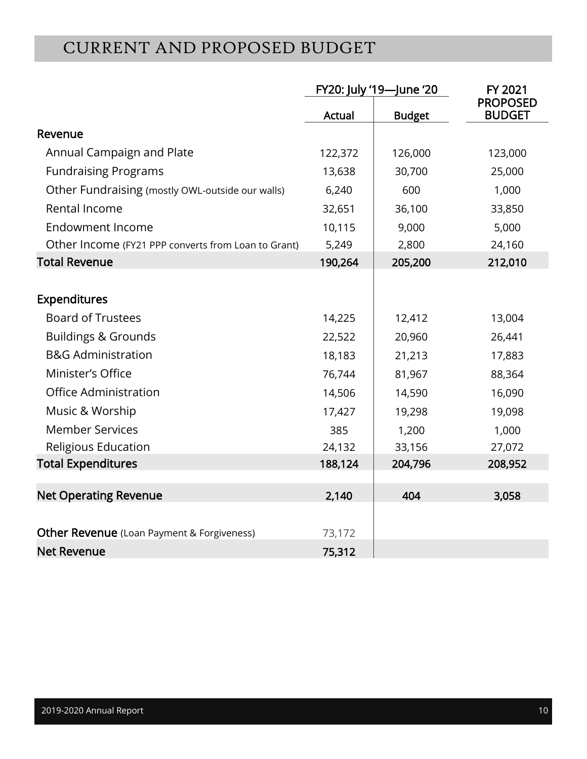# CURRENT AND PROPOSED BUDGET

|                                                     | FY20: July '19-June '20 |               | FY 2021                          |
|-----------------------------------------------------|-------------------------|---------------|----------------------------------|
|                                                     | Actual                  | <b>Budget</b> | <b>PROPOSED</b><br><b>BUDGET</b> |
| Revenue                                             |                         |               |                                  |
| Annual Campaign and Plate                           | 122,372                 | 126,000       | 123,000                          |
| <b>Fundraising Programs</b>                         | 13,638                  | 30,700        | 25,000                           |
| Other Fundraising (mostly OWL-outside our walls)    | 6,240                   | 600           | 1,000                            |
| Rental Income                                       | 32,651                  | 36,100        | 33,850                           |
| <b>Endowment Income</b>                             | 10,115                  | 9,000         | 5,000                            |
| Other Income (FY21 PPP converts from Loan to Grant) | 5,249                   | 2,800         | 24,160                           |
| <b>Total Revenue</b>                                | 190,264                 | 205,200       | 212,010                          |
|                                                     |                         |               |                                  |
| <b>Expenditures</b>                                 |                         |               |                                  |
| <b>Board of Trustees</b>                            | 14,225                  | 12,412        | 13,004                           |
| <b>Buildings &amp; Grounds</b>                      | 22,522                  | 20,960        | 26,441                           |
| <b>B&amp;G Administration</b>                       | 18,183                  | 21,213        | 17,883                           |
| Minister's Office                                   | 76,744                  | 81,967        | 88,364                           |
| <b>Office Administration</b>                        | 14,506                  | 14,590        | 16,090                           |
| Music & Worship                                     | 17,427                  | 19,298        | 19,098                           |
| <b>Member Services</b>                              | 385                     | 1,200         | 1,000                            |
| Religious Education                                 | 24,132                  | 33,156        | 27,072                           |
| <b>Total Expenditures</b>                           | 188,124                 | 204,796       | 208,952                          |
|                                                     |                         |               |                                  |
| <b>Net Operating Revenue</b>                        | 2,140                   | 404           | 3,058                            |
|                                                     |                         |               |                                  |
| <b>Other Revenue</b> (Loan Payment & Forgiveness)   | 73,172                  |               |                                  |
| <b>Net Revenue</b>                                  | 75,312                  |               |                                  |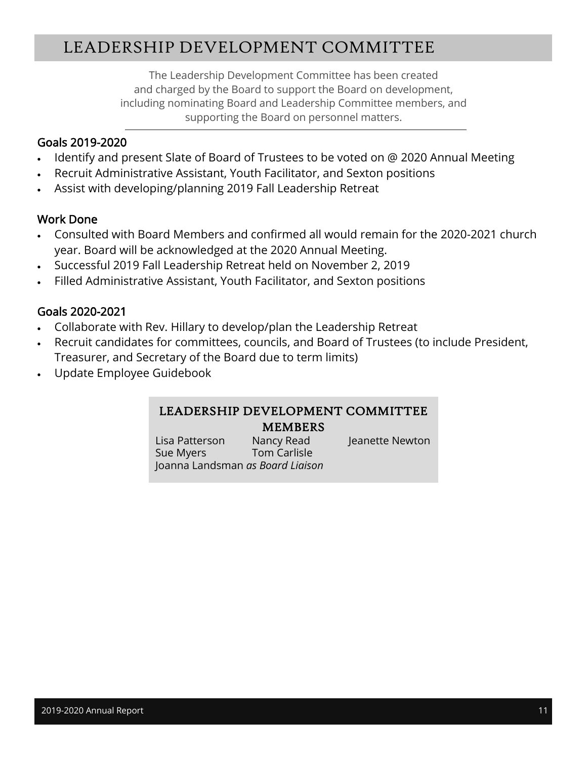# LEADERSHIP DEVELOPMENT COMMITTEE

The Leadership Development Committee has been created and charged by the Board to support the Board on development, including nominating Board and Leadership Committee members, and supporting the Board on personnel matters.

### Goals 2019-2020

- Identify and present Slate of Board of Trustees to be voted on @ 2020 Annual Meeting
- Recruit Administrative Assistant, Youth Facilitator, and Sexton positions
- Assist with developing/planning 2019 Fall Leadership Retreat

### Work Done

- Consulted with Board Members and confirmed all would remain for the 2020-2021 church year. Board will be acknowledged at the 2020 Annual Meeting.
- Successful 2019 Fall Leadership Retreat held on November 2, 2019
- Filled Administrative Assistant, Youth Facilitator, and Sexton positions

### Goals 2020-2021

- Collaborate with Rev. Hillary to develop/plan the Leadership Retreat
- Recruit candidates for committees, councils, and Board of Trustees (to include President, Treasurer, and Secretary of the Board due to term limits)
- Update Employee Guidebook

#### LEADERSHIP DEVELOPMENT COMMITTEE MEMBERS

Lisa Patterson Nancy Read Jeanette Newton Sue Myers Tom Carlisle Joanna Landsman *as Board Liaison*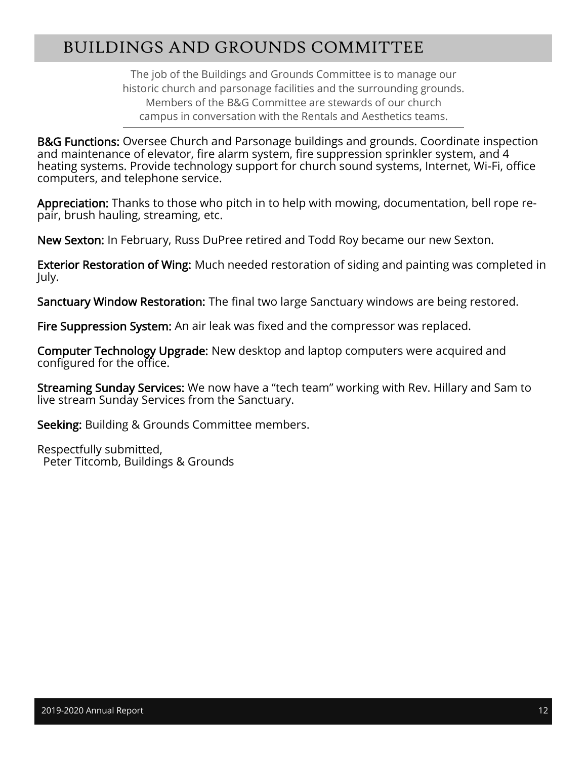# BUILDINGS AND GROUNDS COMMITTEE

The job of the Buildings and Grounds Committee is to manage our historic church and parsonage facilities and the surrounding grounds. Members of the B&G Committee are stewards of our church campus in conversation with the Rentals and Aesthetics teams.

**B&G Functions:** Oversee Church and Parsonage buildings and grounds. Coordinate inspection and maintenance of elevator, fire alarm system, fire suppression sprinkler system, and 4 heating systems. Provide technology support for church sound systems, Internet, Wi-Fi, office computers, and telephone service.

Appreciation: Thanks to those who pitch in to help with mowing, documentation, bell rope repair, brush hauling, streaming, etc.

New Sexton: In February, Russ DuPree retired and Todd Roy became our new Sexton.

Exterior Restoration of Wing: Much needed restoration of siding and painting was completed in July.

Sanctuary Window Restoration: The final two large Sanctuary windows are being restored.

Fire Suppression System: An air leak was fixed and the compressor was replaced.

Computer Technology Upgrade: New desktop and laptop computers were acquired and configured for the office.

Streaming Sunday Services: We now have a "tech team" working with Rev. Hillary and Sam to live stream Sunday Services from the Sanctuary.

Seeking: Building & Grounds Committee members.

Respectfully submitted, Peter Titcomb, Buildings & Grounds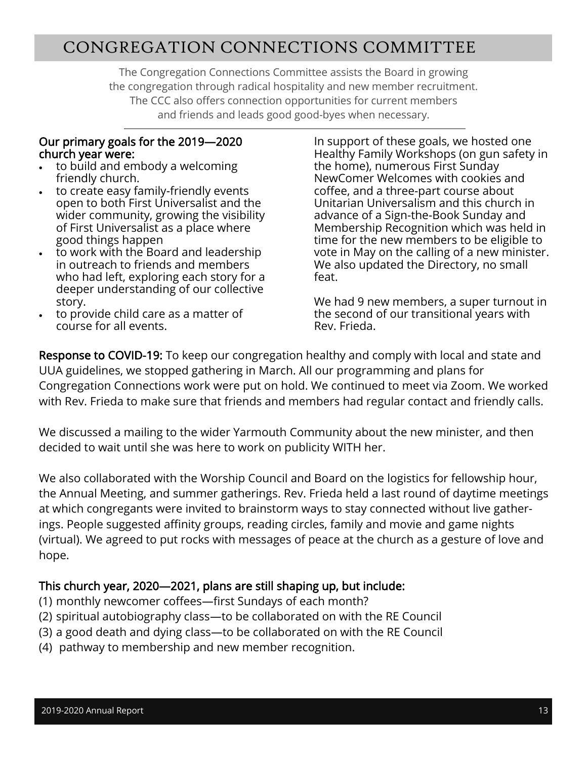### CONGREGATION CONNECTIONS COMMITTEE

The Congregation Connections Committee assists the Board in growing the congregation through radical hospitality and new member recruitment. The CCC also offers connection opportunities for current members and friends and leads good good-byes when necessary.

#### Our primary goals for the 2019—2020 church year were:

- to build and embody a welcoming friendly church.
- to create easy family-friendly events open to both First Universalist and the wider community, growing the visibility of First Universalist as a place where good things happen
- to work with the Board and leadership in outreach to friends and members who had left, exploring each story for a deeper understanding of our collective story.
- to provide child care as a matter of course for all events.

In support of these goals, we hosted one Healthy Family Workshops (on gun safety in the home), numerous First Sunday NewComer Welcomes with cookies and coffee, and a three-part course about Unitarian Universalism and this church in advance of a Sign-the-Book Sunday and Membership Recognition which was held in time for the new members to be eligible to vote in May on the calling of a new minister. We also updated the Directory, no small feat.

We had 9 new members, a super turnout in the second of our transitional years with Rev. Frieda.

Response to COVID-19: To keep our congregation healthy and comply with local and state and UUA guidelines, we stopped gathering in March. All our programming and plans for Congregation Connections work were put on hold. We continued to meet via Zoom. We worked with Rev. Frieda to make sure that friends and members had regular contact and friendly calls.

We discussed a mailing to the wider Yarmouth Community about the new minister, and then decided to wait until she was here to work on publicity WITH her.

We also collaborated with the Worship Council and Board on the logistics for fellowship hour, the Annual Meeting, and summer gatherings. Rev. Frieda held a last round of daytime meetings at which congregants were invited to brainstorm ways to stay connected without live gatherings. People suggested affinity groups, reading circles, family and movie and game nights (virtual). We agreed to put rocks with messages of peace at the church as a gesture of love and hope.

### This church year, 2020—2021, plans are still shaping up, but include:

- (1) monthly newcomer coffees—first Sundays of each month?
- (2) spiritual autobiography class—to be collaborated on with the RE Council
- (3) a good death and dying class—to be collaborated on with the RE Council
- (4) pathway to membership and new member recognition.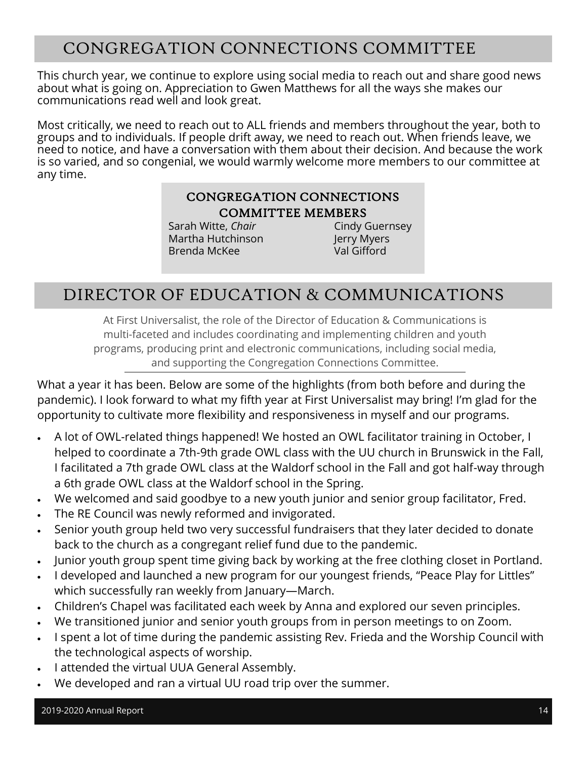# CONGREGATION CONNECTIONS COMMITTEE

This church year, we continue to explore using social media to reach out and share good news about what is going on. Appreciation to Gwen Matthews for all the ways she makes our communications read well and look great.

Most critically, we need to reach out to ALL friends and members throughout the year, both to groups and to individuals. If people drift away, we need to reach out. When friends leave, we need to notice, and have a conversation with them about their decision. And because the work is so varied, and so congenial, we would warmly welcome more members to our committee at any time.

### CONGREGATION CONNECTIONS COMMITTEE MEMBERS

Sarah Witte, *Chair* Cindy Guernsey Martha Hutchinson **Jerry Myers** Brenda McKee Val Gifford

### DIRECTOR OF EDUCATION & COMMUNICATIONS

At First Universalist, the role of the Director of Education & Communications is multi-faceted and includes coordinating and implementing children and youth programs, producing print and electronic communications, including social media, and supporting the Congregation Connections Committee.

What a year it has been. Below are some of the highlights (from both before and during the pandemic). I look forward to what my fifth year at First Universalist may bring! I'm glad for the opportunity to cultivate more flexibility and responsiveness in myself and our programs.

- A lot of OWL-related things happened! We hosted an OWL facilitator training in October, I helped to coordinate a 7th-9th grade OWL class with the UU church in Brunswick in the Fall, I facilitated a 7th grade OWL class at the Waldorf school in the Fall and got half-way through a 6th grade OWL class at the Waldorf school in the Spring.
- We welcomed and said goodbye to a new youth junior and senior group facilitator, Fred.
- The RE Council was newly reformed and invigorated.
- Senior youth group held two very successful fundraisers that they later decided to donate back to the church as a congregant relief fund due to the pandemic.
- Junior youth group spent time giving back by working at the free clothing closet in Portland.
- I developed and launched a new program for our youngest friends, "Peace Play for Littles" which successfully ran weekly from January—March.
- Children's Chapel was facilitated each week by Anna and explored our seven principles.
- We transitioned junior and senior youth groups from in person meetings to on Zoom.
- I spent a lot of time during the pandemic assisting Rev. Frieda and the Worship Council with the technological aspects of worship.
- I attended the virtual UUA General Assembly.
- We developed and ran a virtual UU road trip over the summer.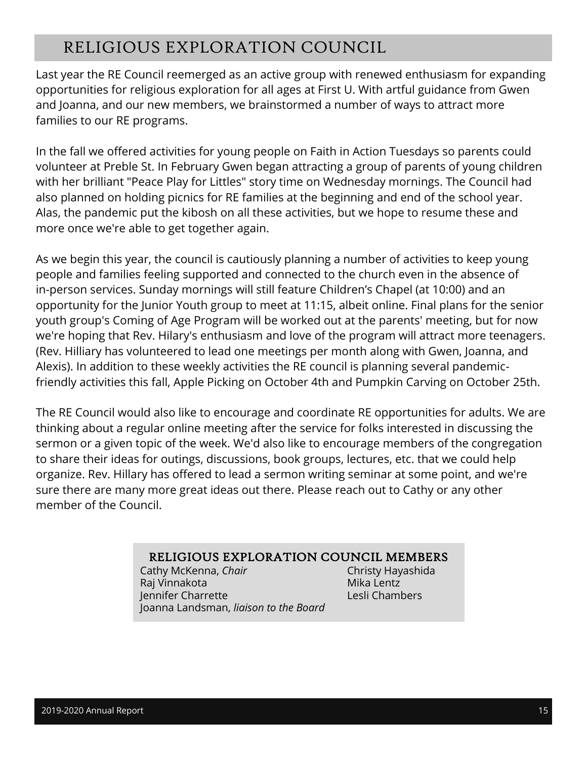# RELIGIOUS EXPLORATION COUNCIL

Last year the RE Council reemerged as an active group with renewed enthusiasm for expanding opportunities for religious exploration for all ages at First U. With artful guidance from Gwen and Joanna, and our new members, we brainstormed a number of ways to attract more families to our RE programs.

In the fall we offered activities for young people on Faith in Action Tuesdays so parents could volunteer at Preble St. In February Gwen began attracting a group of parents of young children with her brilliant "Peace Play for Littles" story time on Wednesday mornings. The Council had also planned on holding picnics for RE families at the beginning and end of the school year. Alas, the pandemic put the kibosh on all these activities, but we hope to resume these and more once we're able to get together again.

As we begin this year, the council is cautiously planning a number of activities to keep young people and families feeling supported and connected to the church even in the absence of in-person services. Sunday mornings will still feature Children's Chapel (at 10:00) and an opportunity for the Junior Youth group to meet at 11:15, albeit online. Final plans for the senior youth group's Coming of Age Program will be worked out at the parents' meeting, but for now we're hoping that Rev. Hilary's enthusiasm and love of the program will attract more teenagers. (Rev. Hilliary has volunteered to lead one meetings per month along with Gwen, Joanna, and Alexis). In addition to these weekly activities the RE council is planning several pandemicfriendly activities this fall, Apple Picking on October 4th and Pumpkin Carving on October 25th.

The RE Council would also like to encourage and coordinate RE opportunities for adults. We are thinking about a regular online meeting after the service for folks interested in discussing the sermon or a given topic of the week. We'd also like to encourage members of the congregation to share their ideas for outings, discussions, book groups, lectures, etc. that we could help organize. Rev. Hillary has offered to lead a sermon writing seminar at some point, and we're sure there are many more great ideas out there. Please reach out to Cathy or any other member of the Council.

#### RELIGIOUS EXPLORATION COUNCIL MEMBERS

Cathy McKenna, *Chair* Christy Hayashida Raj Vinnakota Mika Lentz Jennifer Charrette Lesli Chambers Joanna Landsman, *liaison to the Board*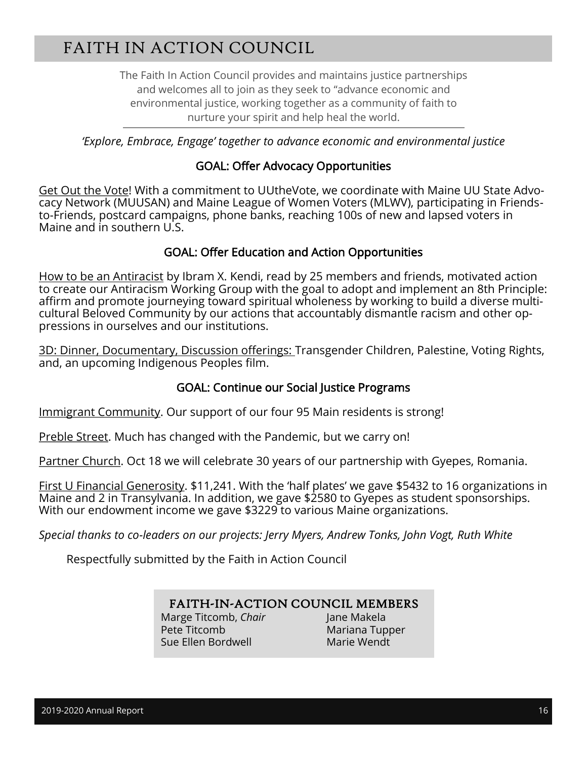# FAITH IN ACTION COUNCIL

The Faith In Action Council provides and maintains justice partnerships and welcomes all to join as they seek to "advance economic and environmental justice, working together as a community of faith to nurture your spirit and help heal the world.

*'Explore, Embrace, Engage' together to advance economic and environmental justice* 

#### GOAL: Offer Advocacy Opportunities

Get Out the Vote! With a commitment to UUtheVote, we coordinate with Maine UU State Advocacy Network (MUUSAN) and Maine League of Women Voters (MLWV), participating in Friendsto-Friends, postcard campaigns, phone banks, reaching 100s of new and lapsed voters in Maine and in southern U.S.

#### GOAL: Offer Education and Action Opportunities

How to be an Antiracist by Ibram X. Kendi, read by 25 members and friends, motivated action to create our Antiracism Working Group with the goal to adopt and implement an 8th Principle: affirm and promote journeying toward spiritual wholeness by working to build a diverse multicultural Beloved Community by our actions that accountably dismantle racism and other oppressions in ourselves and our institutions.

3D: Dinner, Documentary, Discussion offerings: Transgender Children, Palestine, Voting Rights, and, an upcoming Indigenous Peoples film.

#### GOAL: Continue our Social Justice Programs

Immigrant Community. Our support of our four 95 Main residents is strong!

Preble Street. Much has changed with the Pandemic, but we carry on!

Partner Church. Oct 18 we will celebrate 30 years of our partnership with Gyepes, Romania.

First U Financial Generosity. \$11,241. With the 'half plates' we gave \$5432 to 16 organizations in Maine and 2 in Transylvania. In addition, we gave \$2580 to Gyepes as student sponsorships. With our endowment income we gave \$3229 to various Maine organizations.

*Special thanks to co-leaders on our projects: Jerry Myers, Andrew Tonks, John Vogt, Ruth White*

Respectfully submitted by the Faith in Action Council

#### FAITH-IN-ACTION COUNCIL MEMBERS

Marge Titcomb, *Chair* Jane Makela Pete Titcomb Mariana Tupper Sue Ellen Bordwell Marie Wendt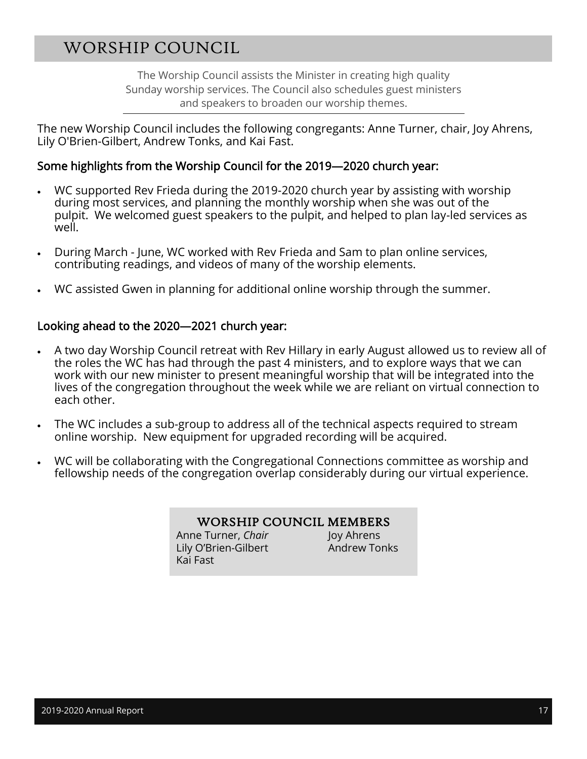## WORSHIP COUNCIL

The Worship Council assists the Minister in creating high quality Sunday worship services. The Council also schedules guest ministers and speakers to broaden our worship themes.

The new Worship Council includes the following congregants: Anne Turner, chair, Joy Ahrens, Lily O'Brien-Gilbert, Andrew Tonks, and Kai Fast.

#### Some highlights from the Worship Council for the 2019—2020 church year:

- WC supported Rev Frieda during the 2019-2020 church year by assisting with worship during most services, and planning the monthly worship when she was out of the pulpit. We welcomed guest speakers to the pulpit, and helped to plan lay-led services as well.
- During March June, WC worked with Rev Frieda and Sam to plan online services, contributing readings, and videos of many of the worship elements.
- WC assisted Gwen in planning for additional online worship through the summer.

#### Looking ahead to the 2020—2021 church year:

- A two day Worship Council retreat with Rev Hillary in early August allowed us to review all of the roles the WC has had through the past 4 ministers, and to explore ways that we can work with our new minister to present meaningful worship that will be integrated into the lives of the congregation throughout the week while we are reliant on virtual connection to each other.
- The WC includes a sub-group to address all of the technical aspects required to stream online worship. New equipment for upgraded recording will be acquired.
- WC will be collaborating with the Congregational Connections committee as worship and fellowship needs of the congregation overlap considerably during our virtual experience.

#### WORSHIP COUNCIL MEMBERS

Anne Turner, *Chair* **Joy Ahrens** Lily O'Brien-Gilbert **Andrew Tonks** Kai Fast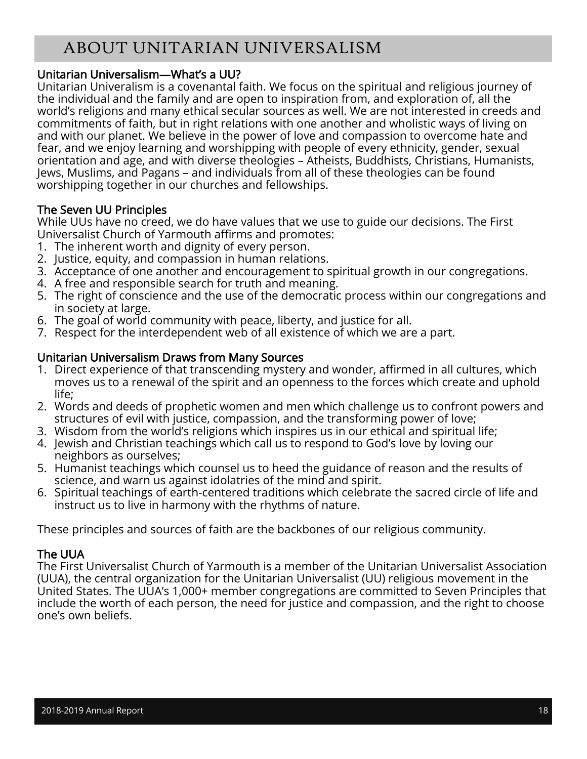# ABOUT UNITARIAN UNIVERSALISM

#### Unitarian Universalism—What's a UU?

Unitarian Univeralism is a covenantal faith. We focus on the spiritual and religious journey of the individual and the family and are open to inspiration from, and exploration of, all the world's religions and many ethical secular sources as well. We are not interested in creeds and commitments of faith, but in right relations with one another and wholistic ways of living on and with our planet. We believe in the power of love and compassion to overcome hate and fear, and we enjoy learning and worshipping with people of every ethnicity, gender, sexual orientation and age, and with diverse theologies – Atheists, Buddhists, Christians, Humanists, Jews, Muslims, and Pagans – and individuals from all of these theologies can be found worshipping together in our churches and fellowships.

#### The Seven UU Principles

While UUs have no creed, we do have values that we use to guide our decisions. The First Universalist Church of Yarmouth affirms and promotes:

- 1. The inherent worth and dignity of every person.
- 2. Justice, equity, and compassion in human relations.
- 3. Acceptance of one another and encouragement to spiritual growth in our congregations.
- 4. A free and responsible search for truth and meaning.
- 5. The right of conscience and the use of the democratic process within our congregations and in society at large.
- 6. The goal of world community with peace, liberty, and justice for all.
- 7. Respect for the interdependent web of all existence of which we are a part.

#### Unitarian Universalism Draws from Many Sources

- 1. Direct experience of that transcending mystery and wonder, affirmed in all cultures, which moves us to a renewal of the spirit and an openness to the forces which create and uphold life;
- 2. Words and deeds of prophetic women and men which challenge us to confront powers and structures of evil with justice, compassion, and the transforming power of love;
- 3. Wisdom from the world's religions which inspires us in our ethical and spiritual life;
- 4. Jewish and Christian teachings which call us to respond to God's love by loving our neighbors as ourselves;
- 5. Humanist teachings which counsel us to heed the guidance of reason and the results of science, and warn us against idolatries of the mind and spirit.
- 6. Spiritual teachings of earth-centered traditions which celebrate the sacred circle of life and instruct us to live in harmony with the rhythms of nature.

These principles and sources of faith are the backbones of our religious community.

#### The UUA

The First Universalist Church of Yarmouth is a member of the Unitarian Universalist Association (UUA), the central organization for the Unitarian Universalist (UU) religious movement in the United States. The UUA's 1,000+ member congregations are committed to Seven Principles that include the worth of each person, the need for justice and compassion, and the right to choose one's own beliefs.